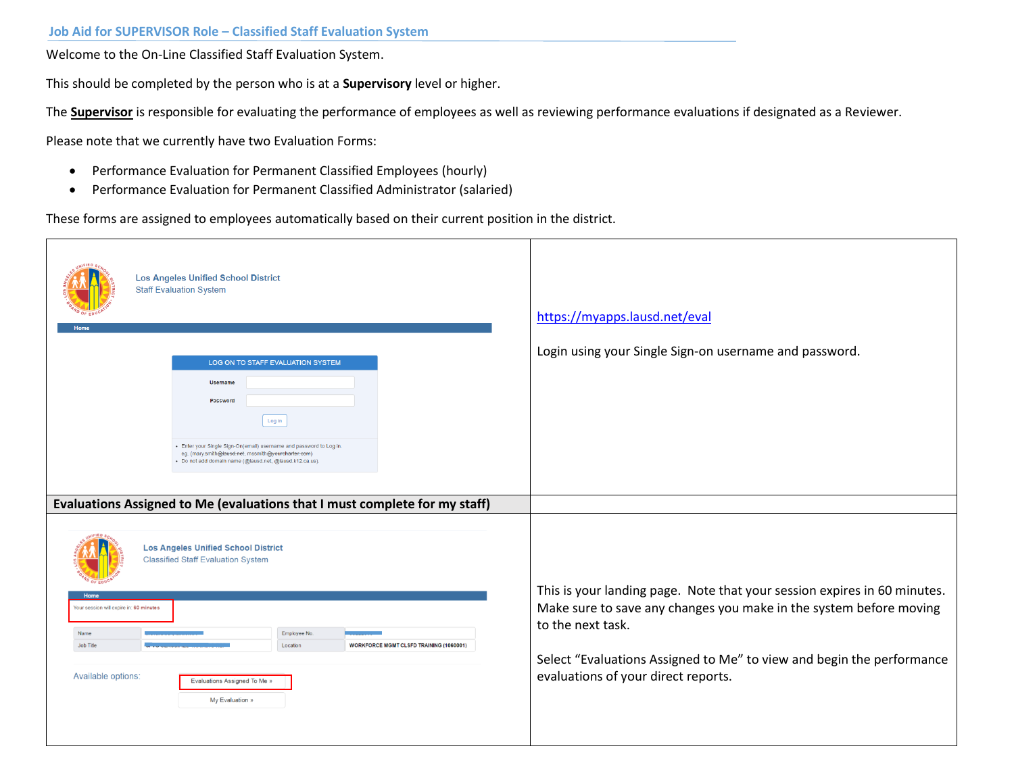Welcome to the On-Line Classified Staff Evaluation System.

This should be completed by the person who is at a **Supervisory** level or higher.

The **Supervisor** is responsible for evaluating the performance of employees as well as reviewing performance evaluations if designated as a Reviewer.

Please note that we currently have two Evaluation Forms:

- Performance Evaluation for Permanent Classified Employees (hourly)
- Performance Evaluation for Permanent Classified Administrator (salaried)

These forms are assigned to employees automatically based on their current position in the district.

| <b>Los Angeles Unified School District</b><br><b>Staff Evaluation System</b>                                                                                                                                                                                 | https://myapps.lausd.net/eval                                                                                                                                       |
|--------------------------------------------------------------------------------------------------------------------------------------------------------------------------------------------------------------------------------------------------------------|---------------------------------------------------------------------------------------------------------------------------------------------------------------------|
| LOG ON TO STAFF EVALUATION SYSTEM<br>Username<br>Password<br>Log in<br>• Enter your Single Sign-On(email) username and password to Log in.<br>eg. (mary.smith@lausd.net, mssmith@yourcharter.com)<br>· Do not add domain name (@lausd.net, @lausd.k12.ca.us) | Login using your Single Sign-on username and password.                                                                                                              |
| Evaluations Assigned to Me (evaluations that I must complete for my staff)                                                                                                                                                                                   |                                                                                                                                                                     |
| <b>Los Angeles Unified School District</b><br><b>Classified Staff Evaluation System</b>                                                                                                                                                                      |                                                                                                                                                                     |
| Your session will expire in: 60 minutes<br>Name<br>Employee No<br><b>WORKFORCE MGMT CLSFD TRAINING (1060001)</b><br>Job Title<br>Location                                                                                                                    | This is your landing page. Note that your session expires in 60 minutes.<br>Make sure to save any changes you make in the system before moving<br>to the next task. |
| Available options:<br>Evaluations Assigned To Me »<br>My Evaluation »                                                                                                                                                                                        | Select "Evaluations Assigned to Me" to view and begin the performance<br>evaluations of your direct reports.                                                        |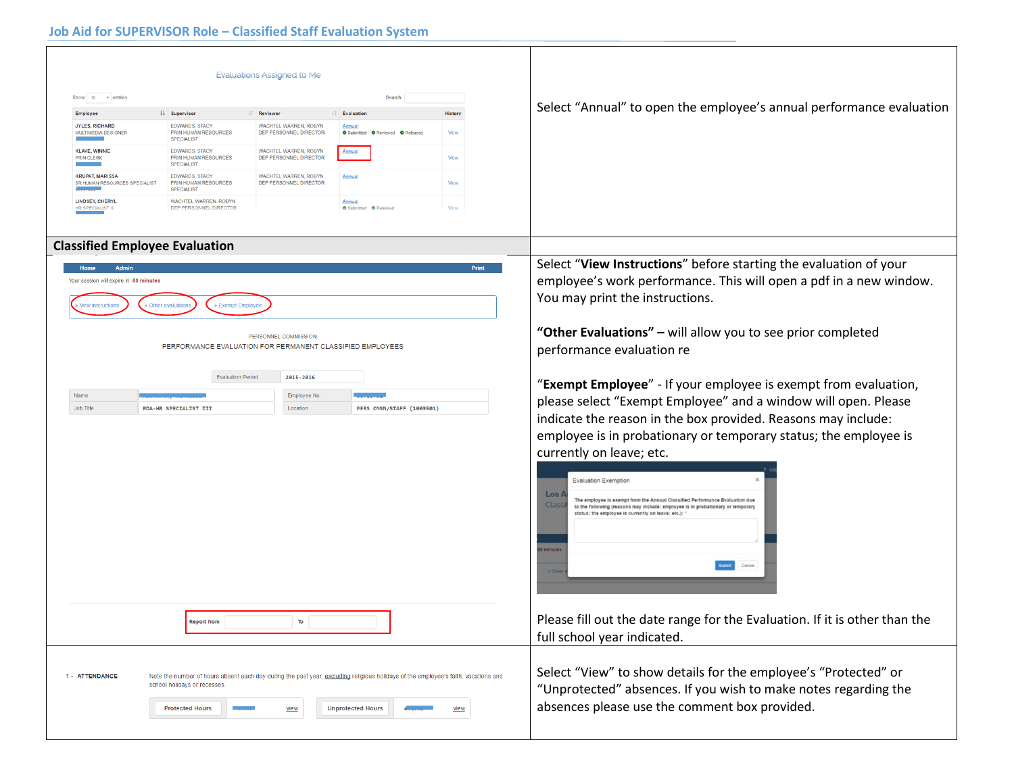|                                                                                      |                                                                    | Evaluations Assigned to Me                      |                                                                                                                                    |                                                                                                                                                                            |                                                                                                                                                                                                    |
|--------------------------------------------------------------------------------------|--------------------------------------------------------------------|-------------------------------------------------|------------------------------------------------------------------------------------------------------------------------------------|----------------------------------------------------------------------------------------------------------------------------------------------------------------------------|----------------------------------------------------------------------------------------------------------------------------------------------------------------------------------------------------|
| Show 10<br>v entries<br>Search                                                       |                                                                    |                                                 |                                                                                                                                    | Select "Annual" to open the employee's annual performance evaluation                                                                                                       |                                                                                                                                                                                                    |
| Employee                                                                             | <b>LE</b> Supervisor                                               | <b>IT</b> Reviewer                              | <b>If</b> Evaluation                                                                                                               | <b>History</b>                                                                                                                                                             |                                                                                                                                                                                                    |
| <b>JYLES, RICHARD</b><br>MULTIMEDIA DESIGNER                                         | <b>EDWARDS, STACY</b><br>PRIN HUMAN RESOURCES<br><b>SPECIALIST</b> | WACHTEL WARREN, ROBYN<br>DEP PERSONNEL DIRECTOR | <u>Annual</u><br>O Submitted O Reviewed O Released                                                                                 | View                                                                                                                                                                       |                                                                                                                                                                                                    |
| <b>KLAVE, WINNIE</b><br><b>PRIN CLERK</b>                                            | <b>EDWARDS, STACY</b><br>PRIN HUMAN RESOURCES<br><b>SPECIALIST</b> | WACHTEL WARREN, ROBYN<br>DEP PERSONNEL DIRECTOR | Annual                                                                                                                             | View                                                                                                                                                                       |                                                                                                                                                                                                    |
| <b>KRUPAT, MARISSA</b><br>SR HUMAN RESOURCES SPECIALIST                              | <b>EDWARDS, STACY</b><br>PRIN HUMAN RESOURCES<br><b>SPECIALIST</b> | WACHTEL WARREN, ROBYN<br>DEP PERSONNEL DIRECTOR | Annua                                                                                                                              | View                                                                                                                                                                       |                                                                                                                                                                                                    |
| <b>LINDSEY, CHERYI</b><br>HR SPECIALIST III                                          | WACHTEL WARREN, ROBYN<br>DEP PERSONNEL DIRECTOR                    |                                                 | <b>Annual</b><br><b>O</b> Submitted <b>O</b> Released                                                                              | View                                                                                                                                                                       |                                                                                                                                                                                                    |
|                                                                                      |                                                                    |                                                 |                                                                                                                                    |                                                                                                                                                                            |                                                                                                                                                                                                    |
|                                                                                      | <b>Classified Employee Evaluation</b>                              |                                                 |                                                                                                                                    |                                                                                                                                                                            |                                                                                                                                                                                                    |
| Home<br>Admin<br>Your session will expire in: 60 minutes<br><b>View instructions</b> | » Exempt Employee<br><b>Other evaluations</b>                      |                                                 |                                                                                                                                    | Select "View Instructions" before starting the evaluation of your<br>employee's work performance. This will open a pdf in a new window.<br>You may print the instructions. |                                                                                                                                                                                                    |
|                                                                                      | PERFORMANCE EVALUATION FOR PERMANENT CLASSIFIED EMPLOYEES          | PERSONNEL COMMISSION                            |                                                                                                                                    | "Other Evaluations" - will allow you to see prior completed<br>performance evaluation re                                                                                   |                                                                                                                                                                                                    |
|                                                                                      | <b>Evaluation Period</b>                                           | 2015-2016                                       |                                                                                                                                    |                                                                                                                                                                            | "Exempt Employee" - If your employee is exempt from evaluation,                                                                                                                                    |
| Name                                                                                 |                                                                    | Employee No.                                    |                                                                                                                                    |                                                                                                                                                                            | please select "Exempt Employee" and a window will open. Please                                                                                                                                     |
| Job Title                                                                            | RDA-HR SPECIALIST III                                              | Location                                        | PERS CMSN/STAFF (1003501)                                                                                                          |                                                                                                                                                                            | indicate the reason in the box provided. Reasons may include:                                                                                                                                      |
|                                                                                      |                                                                    |                                                 |                                                                                                                                    |                                                                                                                                                                            |                                                                                                                                                                                                    |
|                                                                                      |                                                                    |                                                 |                                                                                                                                    |                                                                                                                                                                            | employee is in probationary or temporary status; the employee is                                                                                                                                   |
|                                                                                      |                                                                    |                                                 |                                                                                                                                    |                                                                                                                                                                            | currently on leave; etc.                                                                                                                                                                           |
|                                                                                      |                                                                    |                                                 |                                                                                                                                    |                                                                                                                                                                            |                                                                                                                                                                                                    |
|                                                                                      |                                                                    |                                                 |                                                                                                                                    |                                                                                                                                                                            | <b>Evaluation Exemption</b>                                                                                                                                                                        |
|                                                                                      |                                                                    |                                                 |                                                                                                                                    |                                                                                                                                                                            | $\textsf{Los }$<br>The employee is exempt from the Annual Classified Performance Evaluation due<br><b>Class</b><br>to the following (reasons may include: employee is in probationary or temporary |
|                                                                                      |                                                                    |                                                 |                                                                                                                                    |                                                                                                                                                                            | status; the employee is currently on leave; etc.):                                                                                                                                                 |
|                                                                                      |                                                                    |                                                 |                                                                                                                                    |                                                                                                                                                                            |                                                                                                                                                                                                    |
|                                                                                      |                                                                    |                                                 |                                                                                                                                    |                                                                                                                                                                            | minute                                                                                                                                                                                             |
|                                                                                      |                                                                    |                                                 |                                                                                                                                    |                                                                                                                                                                            | <b>Submit</b><br>Cancel                                                                                                                                                                            |
|                                                                                      |                                                                    |                                                 |                                                                                                                                    |                                                                                                                                                                            |                                                                                                                                                                                                    |
|                                                                                      |                                                                    |                                                 |                                                                                                                                    |                                                                                                                                                                            |                                                                                                                                                                                                    |
|                                                                                      |                                                                    |                                                 |                                                                                                                                    |                                                                                                                                                                            |                                                                                                                                                                                                    |
| To<br><b>Report from</b>                                                             |                                                                    |                                                 |                                                                                                                                    | Please fill out the date range for the Evaluation. If it is other than the                                                                                                 |                                                                                                                                                                                                    |
|                                                                                      |                                                                    |                                                 |                                                                                                                                    |                                                                                                                                                                            | full school year indicated.                                                                                                                                                                        |
|                                                                                      |                                                                    |                                                 |                                                                                                                                    |                                                                                                                                                                            |                                                                                                                                                                                                    |
| 1 - ATTENDANCE                                                                       |                                                                    |                                                 |                                                                                                                                    |                                                                                                                                                                            | Select "View" to show details for the employee's "Protected" or                                                                                                                                    |
|                                                                                      | school holidays or recesses.                                       |                                                 | Note the number of hours absent each day during the past year, excluding religious holidays of the employee's faith, vacations and |                                                                                                                                                                            | "Unprotected" absences. If you wish to make notes regarding the                                                                                                                                    |
|                                                                                      |                                                                    |                                                 |                                                                                                                                    |                                                                                                                                                                            |                                                                                                                                                                                                    |
|                                                                                      | <b>Protected Hours</b>                                             | view                                            | <b>Unprotected Hours</b>                                                                                                           | view                                                                                                                                                                       | absences please use the comment box provided.                                                                                                                                                      |
|                                                                                      |                                                                    |                                                 |                                                                                                                                    |                                                                                                                                                                            |                                                                                                                                                                                                    |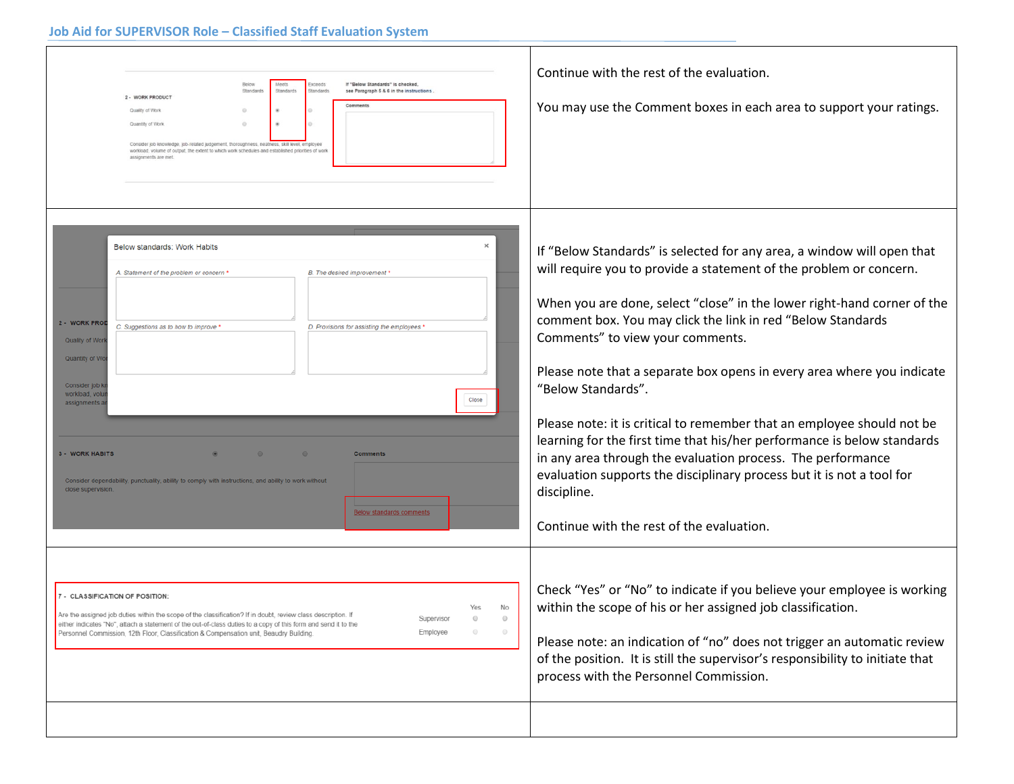| Meets<br>If "Below Standards" is checked.<br>Below<br><b>Exceeds</b><br>Standard<br>Standards<br>Standards<br>see Paragraph 5 & 6 in the instructions.<br>2 - WORK PRODUCT<br>Comments<br>Quality of Work<br>Quantity of Work<br>Consider job knowledge, job-related judgement, thoroughness, neatness, skill level, employe<br>workload, volume of output, the extent to which work schedules and established priorities of work<br>assignments are met                                                                                                                                                                                                                                                                                                                                                                                                                                                                             | Continue with the rest of the evaluation.<br>You may use the Comment boxes in each area to support your ratings.                                                                                                                                                                                                                                                                                                                                                                                                                                                                                                                                                                                                                                                                                                                                                                                                                                                                                                                                                                                                                    |
|--------------------------------------------------------------------------------------------------------------------------------------------------------------------------------------------------------------------------------------------------------------------------------------------------------------------------------------------------------------------------------------------------------------------------------------------------------------------------------------------------------------------------------------------------------------------------------------------------------------------------------------------------------------------------------------------------------------------------------------------------------------------------------------------------------------------------------------------------------------------------------------------------------------------------------------|-------------------------------------------------------------------------------------------------------------------------------------------------------------------------------------------------------------------------------------------------------------------------------------------------------------------------------------------------------------------------------------------------------------------------------------------------------------------------------------------------------------------------------------------------------------------------------------------------------------------------------------------------------------------------------------------------------------------------------------------------------------------------------------------------------------------------------------------------------------------------------------------------------------------------------------------------------------------------------------------------------------------------------------------------------------------------------------------------------------------------------------|
| Below standards: Work Habits<br>A. Statement of the problem or concern<br>B. The desired improvement '<br>2 - WORK PROI<br>C. Suggestions as to how to improve '<br>D. Provisions for assisting the employees '<br>Quality of Wor<br>Quantity of Wo<br>Consider job k<br>workload, volu<br>Close<br>assignments a<br><b>3 - WORK HABITS</b><br>Comments<br>Consider dependability, punctuality, ability to comply with instructions, and ability to work without<br>close supervision.<br>Below standards comments<br>7 - CLASSIFICATION OF POSITION<br>No<br>Are the assigned job duties within the scope of the classification? If in doubt, review class description. If<br>Supervisor<br>either indicates "No", attach a statement of the out-of-class duties to a copy of this form and send it to the<br>Employee<br>$\circledcirc$<br>Personnel Commission, 12th Floor, Classification & Compensation unit, Beaudry Building, | If "Below Standards" is selected for any area, a window will open that<br>will require you to provide a statement of the problem or concern.<br>When you are done, select "close" in the lower right-hand corner of the<br>comment box. You may click the link in red "Below Standards<br>Comments" to view your comments.<br>Please note that a separate box opens in every area where you indicate<br>"Below Standards".<br>Please note: it is critical to remember that an employee should not be<br>learning for the first time that his/her performance is below standards<br>in any area through the evaluation process. The performance<br>evaluation supports the disciplinary process but it is not a tool for<br>discipline.<br>Continue with the rest of the evaluation.<br>Check "Yes" or "No" to indicate if you believe your employee is working<br>within the scope of his or her assigned job classification.<br>Please note: an indication of "no" does not trigger an automatic review<br>of the position. It is still the supervisor's responsibility to initiate that<br>process with the Personnel Commission. |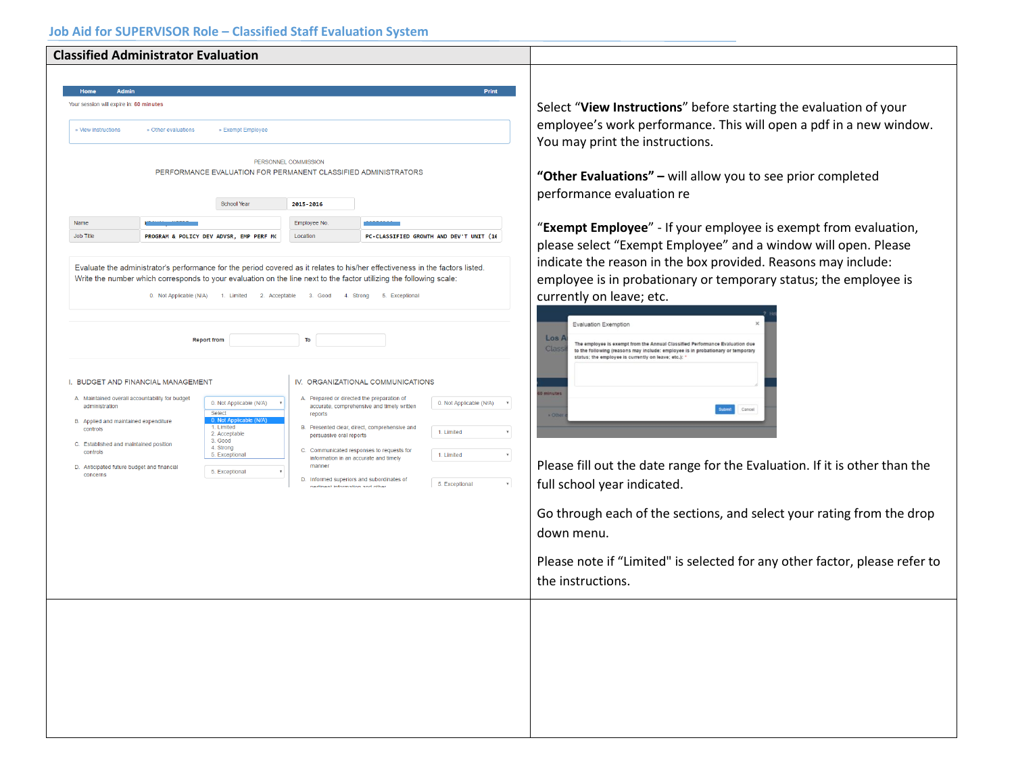|                                                                                            | <b>Classified Administrator Evaluation</b>                                                                                                                                                                                                                                                                                                                                                                                                                                                                                                                                                                                                                                                                                                                                                                                                                                                                                                                                                                                                                                                                                     |                                                               |                                         |              |                                                                                                                                                                                                                                                                                                                                                                                                                                                                                                                                                                                                                                         |
|--------------------------------------------------------------------------------------------|--------------------------------------------------------------------------------------------------------------------------------------------------------------------------------------------------------------------------------------------------------------------------------------------------------------------------------------------------------------------------------------------------------------------------------------------------------------------------------------------------------------------------------------------------------------------------------------------------------------------------------------------------------------------------------------------------------------------------------------------------------------------------------------------------------------------------------------------------------------------------------------------------------------------------------------------------------------------------------------------------------------------------------------------------------------------------------------------------------------------------------|---------------------------------------------------------------|-----------------------------------------|--------------|-----------------------------------------------------------------------------------------------------------------------------------------------------------------------------------------------------------------------------------------------------------------------------------------------------------------------------------------------------------------------------------------------------------------------------------------------------------------------------------------------------------------------------------------------------------------------------------------------------------------------------------------|
| Your session will expire in: 60 minutes<br>» View instructions<br>Name<br><b>Job Title</b> | Admin<br>» Other evaluations<br>» Exempt Employee<br>PERFORMANCE EVALUATION FOR PERMANENT CLASSIFIED ADMINISTRATORS<br><b>School Year</b><br>PROGRAM & POLICY DEV ADVSR, EMP PERF MG<br>Evaluate the administrator's performance for the period covered as it relates to his/her effectiveness in the factors listed.                                                                                                                                                                                                                                                                                                                                                                                                                                                                                                                                                                                                                                                                                                                                                                                                          | PERSONNEL COMMISSION<br>2015-2016<br>Employee No.<br>Location | PC-CLASSIFIED GROWTH AND DEV'T UNIT (16 | <b>Print</b> | Select "View Instructions" before starting the evaluation of your<br>employee's work performance. This will open a pdf in a new window.<br>You may print the instructions.<br>"Other Evaluations" - will allow you to see prior completed<br>performance evaluation re<br>"Exempt Employee" - If your employee is exempt from evaluation,<br>please select "Exempt Employee" and a window will open. Please<br>indicate the reason in the box provided. Reasons may include:<br>employee is in probationary or temporary status; the employee is                                                                                        |
| administration<br>controls<br>controls<br>concerns                                         | Write the number which corresponds to your evaluation on the line next to the factor utilizing the following scale:<br>0. Not Applicable (N/A) 1. Limited 2. Acceptable 3. Good 4. Strong 5. Exceptional<br><b>Report from</b><br>To<br>I. BUDGET AND FINANCIAL MANAGEMENT<br>IV. ORGANIZATIONAL COMMUNICATIONS<br>A. Maintained overall accountability for budget<br>A. Prepared or directed the preparation of<br>0. Not Applicable (N/A)<br>0. Not Applicable (N/A)<br>$\ ^{\intercal}$<br>accurate, comprehensive and timely written<br>Select<br>reports<br>0. Not Ap<br>B. Applied and maintained expenditure<br>1. Limited<br>B. Presented clear, direct, comprehensive and<br>1. Limited<br>2. Acceptable<br>persuasive oral reports<br>3. Good<br>C. Established and maintained position<br>4. Strong<br>C. Communicated responses to requests for<br>5. Exceptional<br>1. Limited<br>information in an accurate and timely<br>manner<br>D. Anticipated future budget and financial<br>5. Exceptional<br>D. Informed superiors and subordinates of<br>5. Exceptional<br>$_{\rm v}$<br>nartinant information and other |                                                               |                                         |              | currently on leave; etc.<br><b>Evaluation Exemption</b><br>$\textsf{Los }$<br>The employee is exempt from the Annual Classified Performance Fyaluation due<br>Class<br>to the following (reasons may include: employee is in probationary or temporary<br>status: the employee is currently on leave; etc.);<br>minute<br>Cancel<br>Please fill out the date range for the Evaluation. If it is other than the<br>full school year indicated.<br>Go through each of the sections, and select your rating from the drop<br>down menu.<br>Please note if "Limited" is selected for any other factor, please refer to<br>the instructions. |
|                                                                                            |                                                                                                                                                                                                                                                                                                                                                                                                                                                                                                                                                                                                                                                                                                                                                                                                                                                                                                                                                                                                                                                                                                                                |                                                               |                                         |              |                                                                                                                                                                                                                                                                                                                                                                                                                                                                                                                                                                                                                                         |